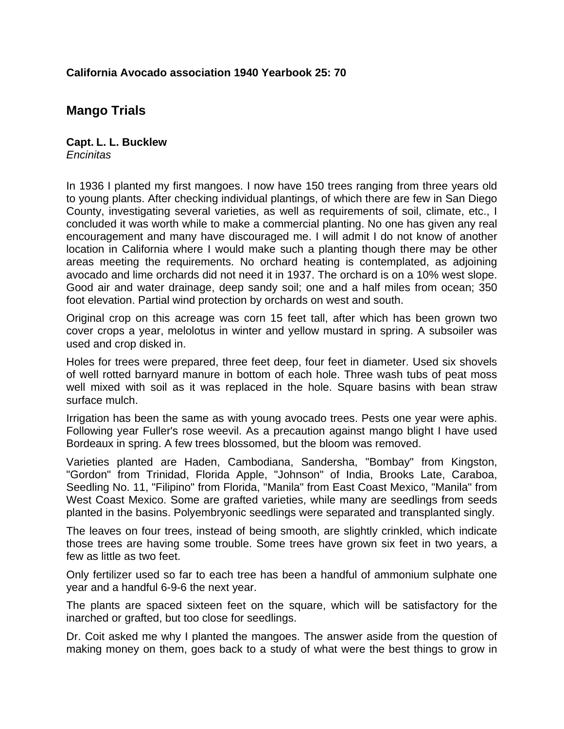## **California Avocado association 1940 Yearbook 25: 70**

## **Mango Trials**

**Capt. L. L. Bucklew**  *Encinitas*

In 1936 I planted my first mangoes. I now have 150 trees ranging from three years old to young plants. After checking individual plantings, of which there are few in San Diego County, investigating several varieties, as well as requirements of soil, climate, etc., I concluded it was worth while to make a commercial planting. No one has given any real encouragement and many have discouraged me. I will admit I do not know of another location in California where I would make such a planting though there may be other areas meeting the requirements. No orchard heating is contemplated, as adjoining avocado and lime orchards did not need it in 1937. The orchard is on a 10% west slope. Good air and water drainage, deep sandy soil; one and a half miles from ocean; 350 foot elevation. Partial wind protection by orchards on west and south.

Original crop on this acreage was corn 15 feet tall, after which has been grown two cover crops a year, melolotus in winter and yellow mustard in spring. A subsoiler was used and crop disked in.

Holes for trees were prepared, three feet deep, four feet in diameter. Used six shovels of well rotted barnyard manure in bottom of each hole. Three wash tubs of peat moss well mixed with soil as it was replaced in the hole. Square basins with bean straw surface mulch.

Irrigation has been the same as with young avocado trees. Pests one year were aphis. Following year Fuller's rose weevil. As a precaution against mango blight I have used Bordeaux in spring. A few trees blossomed, but the bloom was removed.

Varieties planted are Haden, Cambodiana, Sandersha, "Bombay" from Kingston, "Gordon" from Trinidad, Florida Apple, "Johnson" of India, Brooks Late, Caraboa, Seedling No. 11, "Filipino" from Florida, "Manila" from East Coast Mexico, "Manila" from West Coast Mexico. Some are grafted varieties, while many are seedlings from seeds planted in the basins. Polyembryonic seedlings were separated and transplanted singly.

The leaves on four trees, instead of being smooth, are slightly crinkled, which indicate those trees are having some trouble. Some trees have grown six feet in two years, a few as little as two feet.

Only fertilizer used so far to each tree has been a handful of ammonium sulphate one year and a handful 6-9-6 the next year.

The plants are spaced sixteen feet on the square, which will be satisfactory for the inarched or grafted, but too close for seedlings.

Dr. Coit asked me why I planted the mangoes. The answer aside from the question of making money on them, goes back to a study of what were the best things to grow in